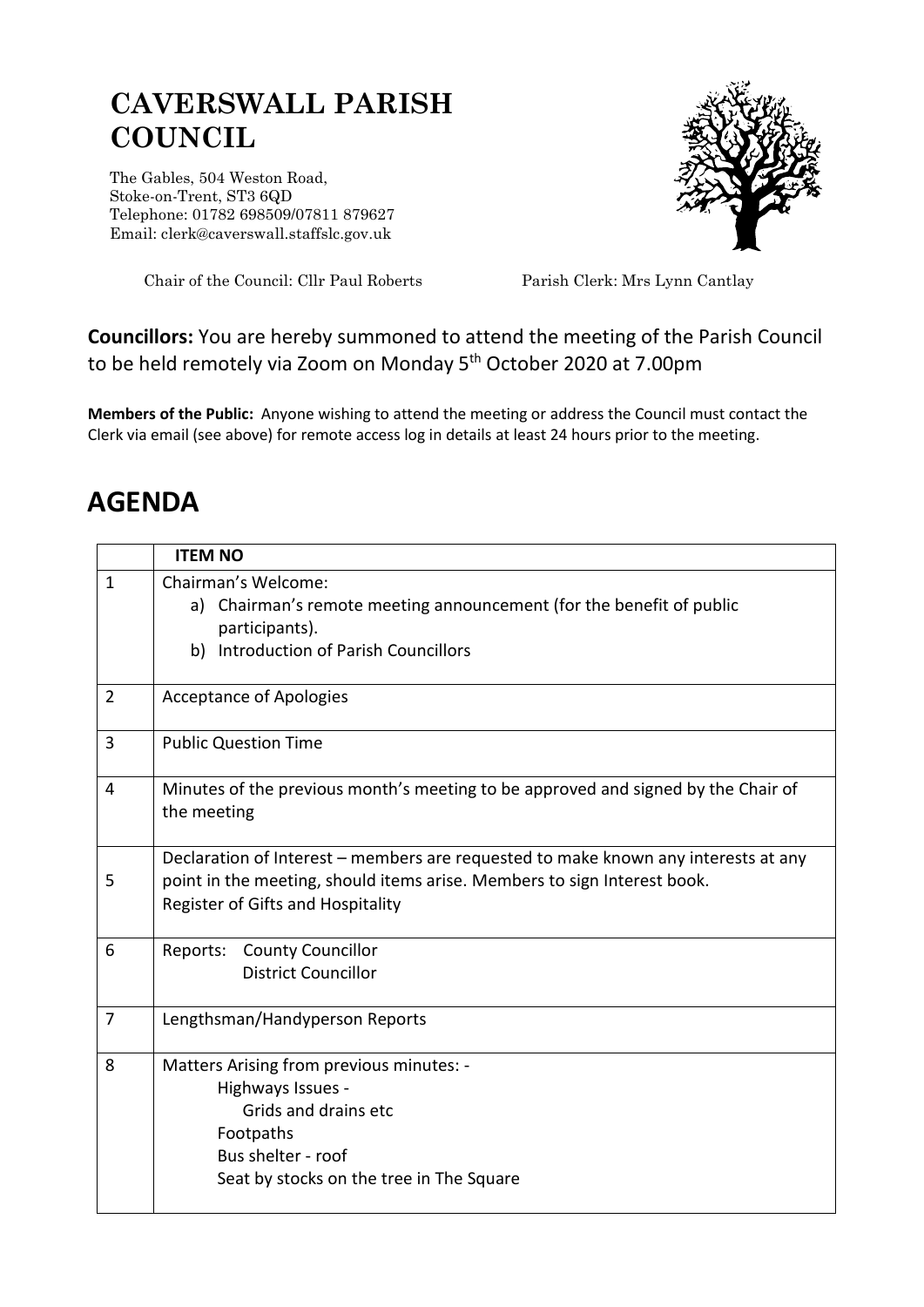## **CAVERSWALL PARISH COUNCIL**

The Gables, 504 Weston Road, Stoke-on-Trent, ST3 6QD Telephone: 01782 698509/07811 879627 Email: clerk@caverswall.staffslc.gov.uk



Chair of the Council: Cllr Paul Roberts Parish Clerk: Mrs Lynn Cantlay

## **Councillors:** You are hereby summoned to attend the meeting of the Parish Council to be held remotely via Zoom on Monday 5<sup>th</sup> October 2020 at 7.00pm

**Members of the Public:** Anyone wishing to attend the meeting or address the Council must contact the Clerk via email (see above) for remote access log in details at least 24 hours prior to the meeting.

## **AGENDA**

|                | <b>ITEM NO</b>                                                                                                                                                                                      |
|----------------|-----------------------------------------------------------------------------------------------------------------------------------------------------------------------------------------------------|
| $\mathbf{1}$   | Chairman's Welcome:<br>Chairman's remote meeting announcement (for the benefit of public<br>a)<br>participants).<br><b>Introduction of Parish Councillors</b><br>b)                                 |
| $\overline{2}$ | <b>Acceptance of Apologies</b>                                                                                                                                                                      |
| 3              | <b>Public Question Time</b>                                                                                                                                                                         |
| 4              | Minutes of the previous month's meeting to be approved and signed by the Chair of<br>the meeting                                                                                                    |
| 5              | Declaration of Interest - members are requested to make known any interests at any<br>point in the meeting, should items arise. Members to sign Interest book.<br>Register of Gifts and Hospitality |
| 6              | <b>County Councillor</b><br>Reports:<br><b>District Councillor</b>                                                                                                                                  |
| 7              | Lengthsman/Handyperson Reports                                                                                                                                                                      |
| 8              | Matters Arising from previous minutes: -<br>Highways Issues -<br>Grids and drains etc<br>Footpaths<br>Bus shelter - roof<br>Seat by stocks on the tree in The Square                                |